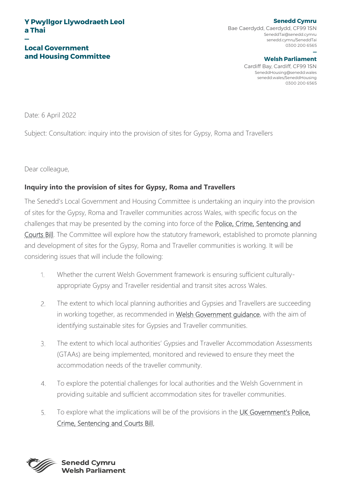#### **— Local Government and Housing Committee**

#### **Senedd Cymru** Bae Caerdydd, Caerdydd, CF99 1SN SeneddTai@senedd.cymru senedd.cymru/SeneddTai 0300 200 6565

#### **— Welsh Parliament**

Cardiff Bay, Cardiff, CF99 1SN SeneddHousing@senedd.wales senedd.wales/SeneddHousing 0300 200 6565

Date: 6 April 2022

Subject: Consultation: inquiry into the provision of sites for Gypsy, Roma and Travellers

Dear colleague,

### **Inquiry into the provision of sites for Gypsy, Roma and Travellers**

The Senedd's Local Government and Housing Committee is undertaking an inquiry into the provision of sites for the Gypsy, Roma and Traveller communities across Wales, with specific focus on the challenges that may be presented by the coming into force of the [Police, Crime, Sentencing and](https://bills.parliament.uk/bills/2839)  [Courts Bill.](https://bills.parliament.uk/bills/2839) The Committee will explore how the statutory framework, established to promote planning and development of sites for the Gypsy, Roma and Traveller communities is working. It will be considering issues that will include the following:

- $\mathbf{1}$ Whether the current Welsh Government framework is ensuring sufficient culturallyappropriate Gypsy and Traveller residential and transit sites across Wales.
- $2.$ The extent to which local planning authorities and Gypsies and Travellers are succeeding in working together, as recommended in [Welsh Government guidance,](https://gov.wales/sites/default/files/publications/2019-05/planning-for-gypsy-traveller-and-showpeople-sites-wgc-0052018.pdf) with the aim of identifying sustainable sites for Gypsies and Traveller communities.
- $\overline{3}$ The extent to which local authorities' Gypsies and Traveller Accommodation Assessments (GTAAs) are being implemented, monitored and reviewed to ensure they meet the accommodation needs of the traveller community.
- To explore the potential challenges for local authorities and the Welsh Government in  $\mathcal{A}_{\cdot}$ providing suitable and sufficient accommodation sites for traveller communities.
- $5<sub>1</sub>$ To explore what the implications will be of the provisions in the [UK Government's Police,](https://bills.parliament.uk/bills/2839)  [Crime, Sentencing and Courts Bill.](https://bills.parliament.uk/bills/2839)

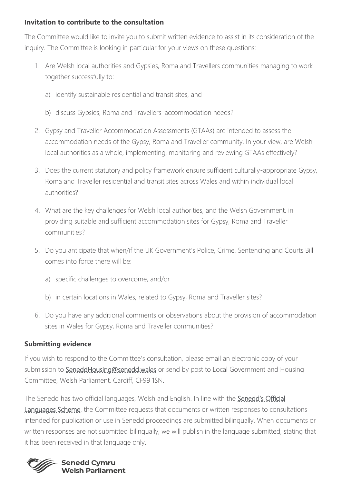### **Invitation to contribute to the consultation**

The Committee would like to invite you to submit written evidence to assist in its consideration of the inquiry. The Committee is looking in particular for your views on these questions:

- 1. Are Welsh local authorities and Gypsies, Roma and Travellers communities managing to work together successfully to:
	- a) identify sustainable residential and transit sites, and
	- b) discuss Gypsies, Roma and Travellers' accommodation needs?
- 2. Gypsy and Traveller Accommodation Assessments (GTAAs) are intended to assess the accommodation needs of the Gypsy, Roma and Traveller community. In your view, are Welsh local authorities as a whole, implementing, monitoring and reviewing GTAAs effectively?
- 3. Does the current statutory and policy framework ensure sufficient culturally-appropriate Gypsy, Roma and Traveller residential and transit sites across Wales and within individual local authorities?
- 4. What are the key challenges for Welsh local authorities, and the Welsh Government, in providing suitable and sufficient accommodation sites for Gypsy, Roma and Traveller communities?
- 5. Do you anticipate that when/if the UK Government's Police, Crime, Sentencing and Courts Bill comes into force there will be:
	- a) specific challenges to overcome, and/or
	- b) in certain locations in Wales, related to Gypsy, Roma and Traveller sites?
- 6. Do you have any additional comments or observations about the provision of accommodation sites in Wales for Gypsy, Roma and Traveller communities?

# **Submitting evidence**

If you wish to respond to the Committee's consultation, please email an electronic copy of your submission to [SeneddHousing@senedd.wales](mailto:SeneddHousing@senedd.wales) or send by post to Local Government and Housing Committee, Welsh Parliament, Cardiff, CF99 1SN.

The Senedd has two official languages, Welsh and English. In line with the Senedd's Official **Languages Scheme**, the Committee requests that documents or written responses to consultations intended for publication or use in Senedd proceedings are submitted bilingually. When documents or written responses are not submitted bilingually, we will publish in the language submitted, stating that it has been received in that language only.